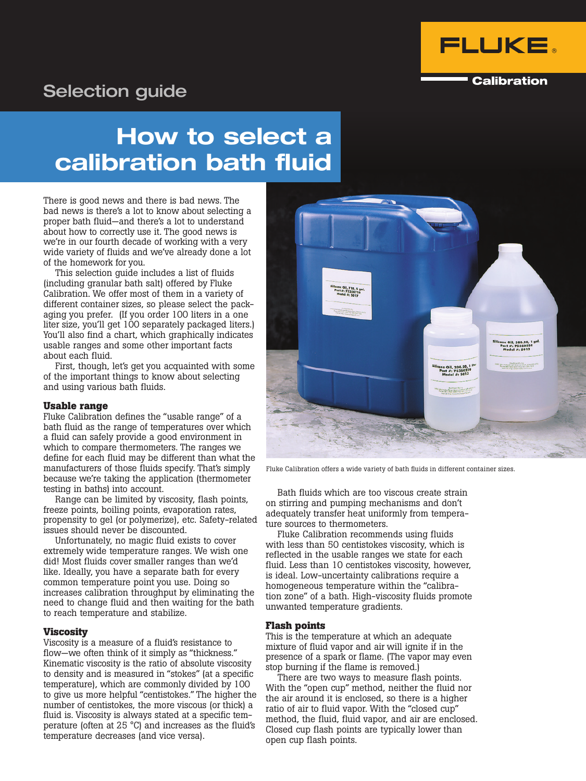

### **Calibration**

# Selection guide

# How to select a calibration bath fluid

There is good news and there is bad news. The bad news is there's a lot to know about selecting a proper bath fluid—and there's a lot to understand about how to correctly use it. The good news is we're in our fourth decade of working with a very wide variety of fluids and we've already done a lot of the homework for you.

This selection guide includes a list of fluids (including granular bath salt) offered by Fluke Calibration. We offer most of them in a variety of different container sizes, so please select the packaging you prefer. (If you order 100 liters in a one liter size, you'll get 100 separately packaged liters.) You'll also find a chart, which graphically indicates usable ranges and some other important facts about each fluid.

First, though, let's get you acquainted with some of the important things to know about selecting and using various bath fluids.

### **Usable range**

Fluke Calibration defines the "usable range" of a bath fluid as the range of temperatures over which a fluid can safely provide a good environment in which to compare thermometers. The ranges we define for each fluid may be different than what the manufacturers of those fluids specify. That's simply because we're taking the application (thermometer testing in baths) into account.

Range can be limited by viscosity, flash points, freeze points, boiling points, evaporation rates, propensity to gel (or polymerize), etc. Safety-related issues should never be discounted.

Unfortunately, no magic fluid exists to cover extremely wide temperature ranges. We wish one did! Most fluids cover smaller ranges than we'd like. Ideally, you have a separate bath for every common temperature point you use. Doing so increases calibration throughput by eliminating the need to change fluid and then waiting for the bath to reach temperature and stabilize.

### **Viscosity**

Viscosity is a measure of a fluid's resistance to flow—we often think of it simply as "thickness." Kinematic viscosity is the ratio of absolute viscosity to density and is measured in "stokes" (at a specific temperature), which are commonly divided by 100 to give us more helpful "centistokes." The higher the number of centistokes, the more viscous (or thick) a fluid is. Viscosity is always stated at a specific temperature (often at 25 °C) and increases as the fluid's temperature decreases (and vice versa).



Fluke Calibration offers a wide variety of bath fluids in different container sizes.

Bath fluids which are too viscous create strain on stirring and pumping mechanisms and don't adequately transfer heat uniformly from temperature sources to thermometers.

Fluke Calibration recommends using fluids with less than 50 centistokes viscosity, which is reflected in the usable ranges we state for each fluid. Less than 10 centistokes viscosity, however, is ideal. Low-uncertainty calibrations require a homogeneous temperature within the "calibration zone" of a bath. High-viscosity fluids promote unwanted temperature gradients.

### **Flash points**

This is the temperature at which an adequate mixture of fluid vapor and air will ignite if in the presence of a spark or flame. (The vapor may even stop burning if the flame is removed.)

There are two ways to measure flash points. With the "open cup" method, neither the fluid nor the air around it is enclosed, so there is a higher ratio of air to fluid vapor. With the "closed cup" method, the fluid, fluid vapor, and air are enclosed. Closed cup flash points are typically lower than open cup flash points.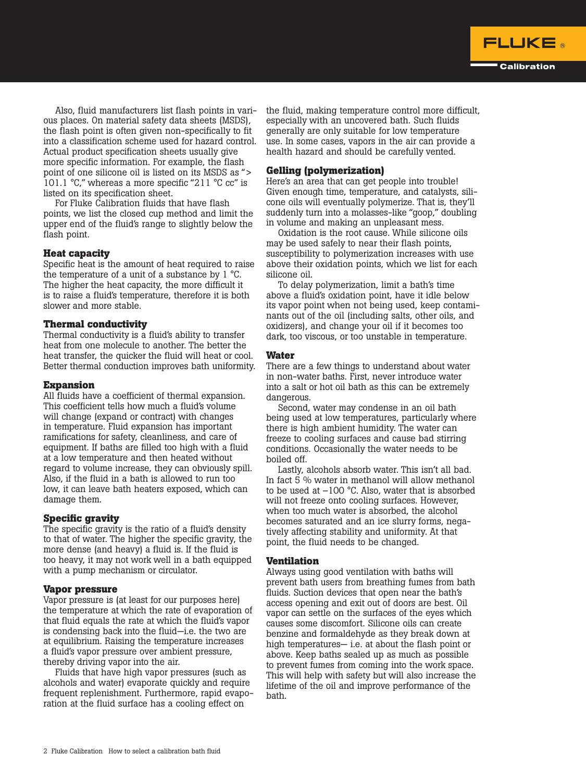

Also, fluid manufacturers list flash points in various places. On material safety data sheets (MSDS), the flash point is often given non-specifically to fit into a classification scheme used for hazard control. Actual product specification sheets usually give more specific information. For example, the flash point of one silicone oil is listed on its MSDS as "> 101.1 °C," whereas a more specific "211 °C cc" is listed on its specification sheet.

For Fluke Calibration fluids that have flash points, we list the closed cup method and limit the upper end of the fluid's range to slightly below the flash point.

### **Heat capacity**

Specific heat is the amount of heat required to raise the temperature of a unit of a substance by 1 °C. The higher the heat capacity, the more difficult it is to raise a fluid's temperature, therefore it is both slower and more stable.

### **Thermal conductivity**

Thermal conductivity is a fluid's ability to transfer heat from one molecule to another. The better the heat transfer, the quicker the fluid will heat or cool. Better thermal conduction improves bath uniformity.

### **Expansion**

All fluids have a coefficient of thermal expansion. This coefficient tells how much a fluid's volume will change (expand or contract) with changes in temperature. Fluid expansion has important ramifications for safety, cleanliness, and care of equipment. If baths are filled too high with a fluid at a low temperature and then heated without regard to volume increase, they can obviously spill. Also, if the fluid in a bath is allowed to run too low, it can leave bath heaters exposed, which can damage them.

### **Specific gravity**

The specific gravity is the ratio of a fluid's density to that of water. The higher the specific gravity, the more dense (and heavy) a fluid is. If the fluid is too heavy, it may not work well in a bath equipped with a pump mechanism or circulator.

### **Vapor pressure**

Vapor pressure is (at least for our purposes here) the temperature at which the rate of evaporation of that fluid equals the rate at which the fluid's vapor is condensing back into the fluid—i.e. the two are at equilibrium. Raising the temperature increases a fluid's vapor pressure over ambient pressure, thereby driving vapor into the air.

Fluids that have high vapor pressures (such as alcohols and water) evaporate quickly and require frequent replenishment. Furthermore, rapid evaporation at the fluid surface has a cooling effect on

the fluid, making temperature control more difficult, especially with an uncovered bath. Such fluids generally are only suitable for low temperature use. In some cases, vapors in the air can provide a health hazard and should be carefully vented.

### **Gelling (polymerization)**

Here's an area that can get people into trouble! Given enough time, temperature, and catalysts, silicone oils will eventually polymerize. That is, they'll suddenly turn into a molasses-like "goop," doubling in volume and making an unpleasant mess.

Oxidation is the root cause. While silicone oils may be used safely to near their flash points, susceptibility to polymerization increases with use above their oxidation points, which we list for each silicone oil.

To delay polymerization, limit a bath's time above a fluid's oxidation point, have it idle below its vapor point when not being used, keep contaminants out of the oil (including salts, other oils, and oxidizers), and change your oil if it becomes too dark, too viscous, or too unstable in temperature.

#### **Water**

There are a few things to understand about water in non-water baths. First, never introduce water into a salt or hot oil bath as this can be extremely dangerous.

Second, water may condense in an oil bath being used at low temperatures, particularly where there is high ambient humidity. The water can freeze to cooling surfaces and cause bad stirring conditions. Occasionally the water needs to be boiled off.

Lastly, alcohols absorb water. This isn't all bad. In fact 5 % water in methanol will allow methanol to be used at  $-100$  °C. Also, water that is absorbed will not freeze onto cooling surfaces. However, when too much water is absorbed, the alcohol becomes saturated and an ice slurry forms, negatively affecting stability and uniformity. At that point, the fluid needs to be changed.

#### **Ventilation**

Always using good ventilation with baths will prevent bath users from breathing fumes from bath fluids. Suction devices that open near the bath's access opening and exit out of doors are best. Oil vapor can settle on the surfaces of the eyes which causes some discomfort. Silicone oils can create benzine and formaldehyde as they break down at high temperatures— i.e. at about the flash point or above. Keep baths sealed up as much as possible to prevent fumes from coming into the work space. This will help with safety but will also increase the lifetime of the oil and improve performance of the bath.

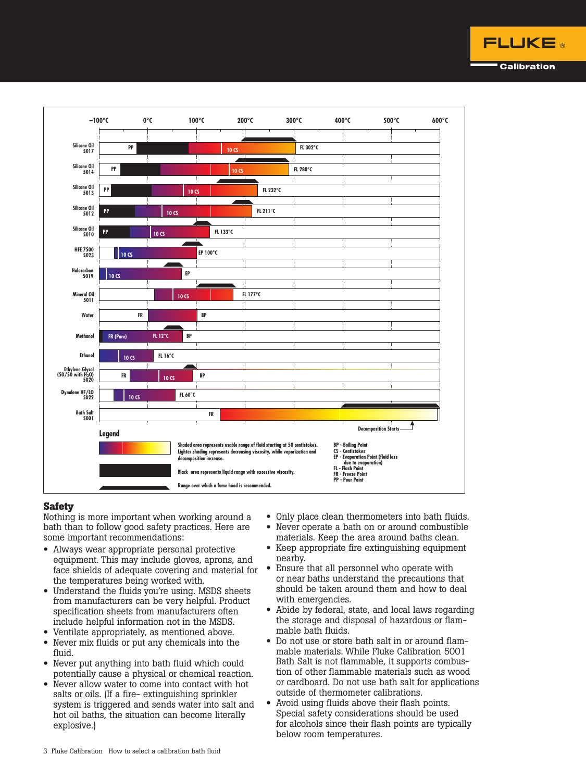



### **Safety**

Nothing is more important when working around a bath than to follow good safety practices. Here are some important recommendations:

- Always wear appropriate personal protective equipment. This may include gloves, aprons, and face shields of adequate covering and material for the temperatures being worked with.
- Understand the fluids you're using. MSDS sheets from manufacturers can be very helpful. Product specification sheets from manufacturers often include helpful information not in the MSDS.
- Ventilate appropriately, as mentioned above.
- Never mix fluids or put any chemicals into the fluid.
- Never put anything into bath fluid which could potentially cause a physical or chemical reaction.
- Never allow water to come into contact with hot salts or oils. (If a fire- extinguishing sprinkler system is triggered and sends water into salt and hot oil baths, the situation can become literally explosive.)
- Only place clean thermometers into bath fluids.
- Never operate a bath on or around combustible materials. Keep the area around baths clean.
- Keep appropriate fire extinguishing equipment nearby.
- Ensure that all personnel who operate with or near baths understand the precautions that should be taken around them and how to deal with emergencies.
- Abide by federal, state, and local laws regarding the storage and disposal of hazardous or flammable bath fluids.
- Do not use or store bath salt in or around flammable materials. While Fluke Calibration 5001 Bath Salt is not flammable, it supports combustion of other flammable materials such as wood or cardboard. Do not use bath salt for applications outside of thermometer calibrations.
- Avoid using fluids above their flash points. Special safety considerations should be used for alcohols since their flash points are typically below room temperatures.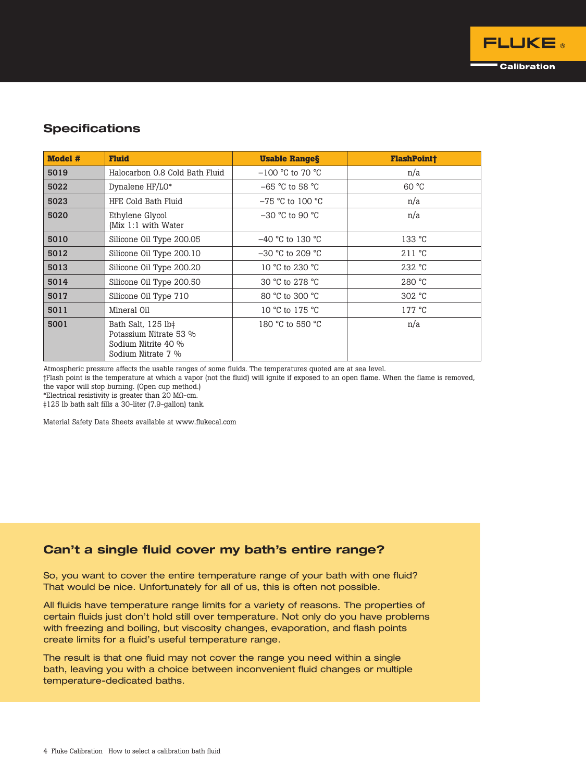### **Specifications**

| <b>Model #</b> | <b>Fluid</b>                                                                              | <b>Usable Ranges</b> | <b>FlashPoint†</b> |
|----------------|-------------------------------------------------------------------------------------------|----------------------|--------------------|
| 5019           | Halocarbon 0.8 Cold Bath Fluid                                                            | $-100$ °C to 70 °C   | n/a                |
| 5022           | Dynalene HF/LO*                                                                           | $-65$ °C to 58 °C    | 60 °C              |
| 5023           | HFE Cold Bath Fluid                                                                       | $-75$ °C to 100 °C   | n/a                |
| 5020           | Ethylene Glycol<br>(Mix 1:1 with Water                                                    | $-30$ °C to 90 °C    | n/a                |
| 5010           | Silicone Oil Type 200.05                                                                  | $-40$ °C to 130 °C   | 133 °C             |
| 5012           | Silicone Oil Type 200.10                                                                  | $-30$ °C to 209 °C   | 211 °C             |
| 5013           | Silicone Oil Type 200.20                                                                  | 10 °C to 230 °C      | 232 °C             |
| 5014           | Silicone Oil Type 200.50                                                                  | 30 °C to 278 °C      | 280 °C             |
| 5017           | Silicone Oil Type 710                                                                     | 80 °C to 300 °C      | 302 °C             |
| 5011           | Mineral Oil                                                                               | 10 °C to 175 °C      | $177^{\circ}$ C    |
| 5001           | Bath Salt, 125 lb‡<br>Potassium Nitrate 53 %<br>Sodium Nitrite 40 %<br>Sodium Nitrate 7 % | 180 °C to 550 °C     | n/a                |

Atmospheric pressure affects the usable ranges of some fluids. The temperatures quoted are at sea level.

†Flash point is the temperature at which a vapor (not the fluid) will ignite if exposed to an open flame. When the flame is removed, the vapor will stop burning. (Open cup method.)

\*Electrical resistivity is greater than 20 MΩ-cm.

‡125 lb bath salt fills a 30-liter (7.9-gallon) tank.

Material Safety Data Sheets available at www.flukecal.com

### Can't a single fluid cover my bath's entire range?

So, you want to cover the entire temperature range of your bath with one fluid? That would be nice. Unfortunately for all of us, this is often not possible.

All fluids have temperature range limits for a variety of reasons. The properties of certain fluids just don't hold still over temperature. Not only do you have problems with freezing and boiling, but viscosity changes, evaporation, and flash points create limits for a fluid's useful temperature range.

The result is that one fluid may not cover the range you need within a single bath, leaving you with a choice between inconvenient fluid changes or multiple temperature-dedicated baths.